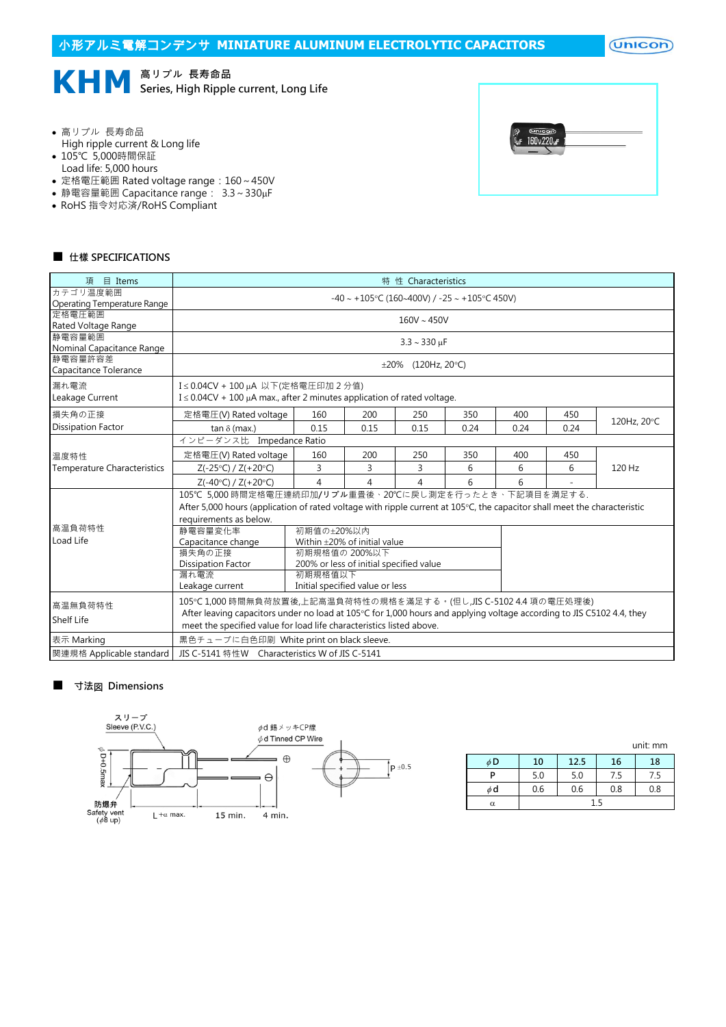

- 高リプル 長寿命品
- High ripple current & Long life
- 105℃ 5,000時間保証
- Load life: 5,000 hours
- 定格電圧範囲 Rated voltage range:160~450V
- 静電容量範囲 Capacitance range: 3.3~330µF
- RoHS 指令対応済/RoHS Compliant



## ■ 仕樣 SPECIFICATIONS

| 目 Items<br>頂                        | 特 性 Characteristics                                                                                                       |                                   |                |                           |      |      |      |             |  |
|-------------------------------------|---------------------------------------------------------------------------------------------------------------------------|-----------------------------------|----------------|---------------------------|------|------|------|-------------|--|
| カテゴリ温度範囲                            | $-40 \sim +105$ °C (160~400V) / -25 ~ +105°C 450V)                                                                        |                                   |                |                           |      |      |      |             |  |
| Operating Temperature Range         |                                                                                                                           |                                   |                |                           |      |      |      |             |  |
| 定格電圧範囲                              | $160V \sim 450V$                                                                                                          |                                   |                |                           |      |      |      |             |  |
| Rated Voltage Range                 |                                                                                                                           |                                   |                |                           |      |      |      |             |  |
| 静電容量範囲<br>Nominal Capacitance Range |                                                                                                                           |                                   |                | $3.3 \sim 330 \text{ µF}$ |      |      |      |             |  |
| 静電容量許容差                             |                                                                                                                           |                                   |                |                           |      |      |      |             |  |
| Capacitance Tolerance               | $\pm 20\%$ (120Hz, 20°C)                                                                                                  |                                   |                |                           |      |      |      |             |  |
| 漏れ電流                                |                                                                                                                           | I≤0.04CV + 100 μA 以下(定格電圧印加 2 分值) |                |                           |      |      |      |             |  |
| Leakage Current                     | $I \leq 0.04CV + 100 \mu A$ max., after 2 minutes application of rated voltage.                                           |                                   |                |                           |      |      |      |             |  |
| 損失角の正接                              | 定格電圧(V) Rated voltage                                                                                                     | 160                               | 200            | 250                       | 350  | 400  | 450  |             |  |
| <b>Dissipation Factor</b>           | tan $\delta$ (max.)                                                                                                       | 0.15                              | 0.15           | 0.15                      | 0.24 | 0.24 | 0.24 | 120Hz, 20°C |  |
|                                     | インピーダンス比 Impedance Ratio                                                                                                  |                                   |                |                           |      |      |      |             |  |
| 温度特性                                | 定格電圧(V) Rated voltage                                                                                                     | 160                               | 200            | 250                       | 350  | 400  | 450  | 120 Hz      |  |
| <b>Temperature Characteristics</b>  | $Z(-25^{\circ}C) / Z(+20^{\circ}C)$                                                                                       | 3                                 | 3              | 3                         | 6    | 6    | 6    |             |  |
|                                     | $Z(-40^{\circ}C) / Z(+20^{\circ}C)$                                                                                       | $\overline{4}$                    | $\overline{4}$ | 4                         | 6    | 6    |      |             |  |
|                                     | 105℃ 5,000 時間定格電圧連続印加/リプル重畳後、20℃に戻し測定を行ったとき、下記項目を満足する.                                                                    |                                   |                |                           |      |      |      |             |  |
|                                     | After 5,000 hours (application of rated voltage with ripple current at 105°C, the capacitor shall meet the characteristic |                                   |                |                           |      |      |      |             |  |
|                                     | requirements as below.                                                                                                    |                                   |                |                           |      |      |      |             |  |
| 高温負荷特性                              | 初期值の±20%以内<br>静電容量変化率                                                                                                     |                                   |                |                           |      |      |      |             |  |
| Load Life                           | Within $\pm$ 20% of initial value<br>Capacitance change                                                                   |                                   |                |                           |      |      |      |             |  |
|                                     | 初期規格値の 200%以下                                                                                                             |                                   |                |                           |      |      |      |             |  |
|                                     | <b>Dissipation Factor</b><br>200% or less of initial specified value                                                      |                                   |                |                           |      |      |      |             |  |
|                                     | 漏れ電流<br>初期規格值以下                                                                                                           |                                   |                |                           |      |      |      |             |  |
|                                     | Initial specified value or less<br>Leakage current                                                                        |                                   |                |                           |      |      |      |             |  |
| 高温無負荷特性                             | 105℃1,000 時間無負荷放置後,上記高温負荷特性の規格を滿足する。(但し,JIS C-5102 4.4 項の電圧処理後)                                                           |                                   |                |                           |      |      |      |             |  |
|                                     | After leaving capacitors under no load at 105°C for 1,000 hours and applying voltage according to JIS C5102 4.4, they     |                                   |                |                           |      |      |      |             |  |
| Shelf Life                          | meet the specified value for load life characteristics listed above.                                                      |                                   |                |                           |      |      |      |             |  |
| 表示 Marking                          | 黒色チューブに白色印刷 White print on black sleeve.                                                                                  |                                   |                |                           |      |      |      |             |  |
| 関連規格 Applicable standard            | JIS C-5141 特性W Characteristics W of JIS C-5141                                                                            |                                   |                |                           |      |      |      |             |  |

## ■ 寸法図 Dimensions



|          |     |      |     | unit: mm |  |
|----------|-----|------|-----|----------|--|
| φD       | 10  | 12.5 | 16  | 18       |  |
|          | 5.0 | 5.0  | 7.5 | 7.5      |  |
| φd       | 0.6 | 0.6  | 0.8 | 0.8      |  |
| $\alpha$ | 15  |      |     |          |  |